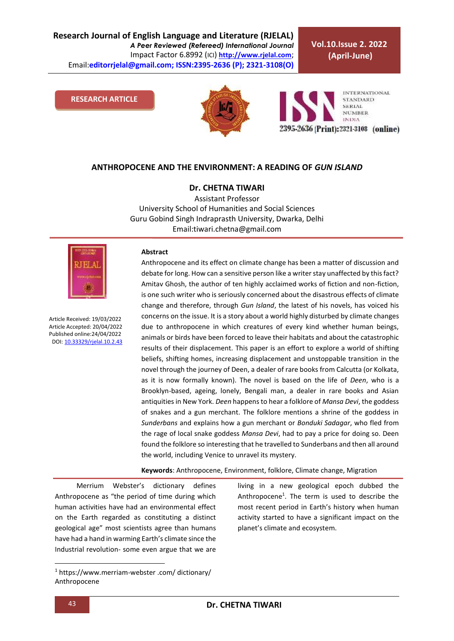**Research Journal of English Language and Literature (RJELAL)** *A Peer Reviewed (Refereed) International Journal* Impact Factor 6.8992 (ICI) **[http://www.rjelal.com](http://www.rjelal.com/)**; Email:**editorrjelal@gmail.com; ISSN:2395-2636 (P); 2321-3108(O)** 

**Vol.10.Issue 2. 2022 (April-June)**

#### **RESEARCH ARTICLE**





## **ANTHROPOCENE AND THE ENVIRONMENT: A READING OF** *GUN ISLAND*

**Dr. CHETNA TIWARI**

Assistant Professor University School of Humanities and Social Sciences Guru Gobind Singh Indraprasth University, Dwarka, Delhi Email:tiwari.chetna@gmail.com



Article Received: 19/03/2022 Article Accepted: 20/04/2022 Published online:24/04/2022 DOI[: 10.33329/rjelal.10.2.4](http://www.rjelal.com/)3

#### **Abstract**

Anthropocene and its effect on climate change has been a matter of discussion and debate for long. How can a sensitive person like a writer stay unaffected by this fact? Amitav Ghosh, the author of ten highly acclaimed works of fiction and non-fiction, is one such writer who is seriously concerned about the disastrous effects of climate change and therefore, through *Gun Island*, the latest of his novels, has voiced his concerns on the issue. It is a story about a world highly disturbed by climate changes due to anthropocene in which creatures of every kind whether human beings, animals or birds have been forced to leave their habitats and about the catastrophic results of their displacement. This paper is an effort to explore a world of shifting beliefs, shifting homes, increasing displacement and unstoppable transition in the novel through the journey of Deen, a dealer of rare books from Calcutta (or Kolkata, as it is now formally known). The novel is based on the life of *Deen*, who is a Brooklyn-based, ageing, lonely, Bengali man, a dealer in rare books and Asian antiquities in New York. *Deen* happens to hear a folklore of *Mansa Devi*, the goddess of snakes and a gun merchant. The folklore mentions a shrine of the goddess in *Sunderbans* and explains how a gun merchant or *Bonduki Sadagar*, who fled from the rage of local snake goddess *Mansa Devi*, had to pay a price for doing so. Deen found the folklore so interesting that he travelled to Sunderbans and then all around the world, including Venice to unravel its mystery.

**Keywords**: Anthropocene, Environment, folklore, Climate change, Migration

Merrium Webster's dictionary defines Anthropocene as "the period of time during which human activities have had an environmental effect on the Earth regarded as constituting a distinct geological age" most scientists agree than humans have had a hand in warming Earth's climate since the Industrial revolution- some even argue that we are

living in a new geological epoch dubbed the Anthropocene<sup>1</sup>. The term is used to describe the most recent period in Earth's history when human activity started to have a significant impact on the planet's climate and ecosystem.

**.** 

<sup>1</sup> https://www.merriam-webster .com/ dictionary/ Anthropocene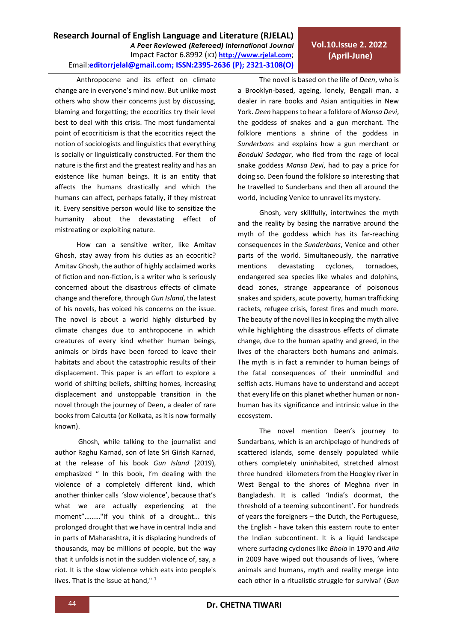# **Vol.10.Issue 2. 2022 (April-June)**

Anthropocene and its effect on climate change are in everyone's mind now. But unlike most others who show their concerns just by discussing, blaming and forgetting; the ecocritics try their level best to deal with this crisis. The most fundamental point of ecocriticism is that the ecocritics reject the notion of sociologists and linguistics that everything is socially or linguistically constructed. For them the nature is the first and the greatest reality and has an existence like human beings. It is an entity that affects the humans drastically and which the humans can affect, perhaps fatally, if they mistreat it. Every sensitive person would like to sensitize the humanity about the devastating effect of mistreating or exploiting nature.

How can a sensitive writer, like Amitav Ghosh, stay away from his duties as an ecocritic? Amitav Ghosh, the author of highly acclaimed works of fiction and non-fiction, is a writer who is seriously concerned about the disastrous effects of climate change and therefore, through *Gun Island*, the latest of his novels, has voiced his concerns on the issue. The novel is about a world highly disturbed by climate changes due to anthropocene in which creatures of every kind whether human beings, animals or birds have been forced to leave their habitats and about the catastrophic results of their displacement. This paper is an effort to explore a world of shifting beliefs, shifting homes, increasing displacement and unstoppable transition in the novel through the journey of Deen, a dealer of rare books from Calcutta (or Kolkata, as it is now formally known).

Ghosh, while talking to the journalist and author Raghu Karnad, son of late Sri Girish Karnad, at the release of his book *Gun Island* (2019), emphasized " In this book, I'm dealing with the violence of a completely different kind, which another thinker calls 'slow violence', because that's what we are actually experiencing at the moment"………"If you think of a drought... this prolonged drought that we have in central India and in parts of Maharashtra, it is displacing hundreds of thousands, may be millions of people, but the way that it unfolds is not in the sudden violence of, say, a riot. It is the slow violence which eats into people's lives. That is the issue at hand,"<sup>1</sup>

The novel is based on the life of *Deen*, who is a Brooklyn-based, ageing, lonely, Bengali man, a dealer in rare books and Asian antiquities in New York. *Deen* happens to hear a folklore of *Mansa Devi*, the goddess of snakes and a gun merchant. The folklore mentions a shrine of the goddess in *Sunderbans* and explains how a gun merchant or *Bonduki Sadagar*, who fled from the rage of local snake goddess *Mansa Devi*, had to pay a price for doing so. Deen found the folklore so interesting that he travelled to Sunderbans and then all around the world, including Venice to unravel its mystery.

Ghosh, very skillfully, intertwines the myth and the reality by basing the narrative around the myth of the goddess which has its far-reaching consequences in the *Sunderbans*, Venice and other parts of the world. Simultaneously, the narrative mentions devastating cyclones, tornadoes, endangered sea species like whales and dolphins, dead zones, strange appearance of poisonous snakes and spiders, acute poverty, human trafficking rackets, refugee crisis, forest fires and much more. The beauty of the novel lies in keeping the myth alive while highlighting the disastrous effects of climate change, due to the human apathy and greed, in the lives of the characters both humans and animals. The myth is in fact a reminder to human beings of the fatal consequences of their unmindful and selfish acts. Humans have to understand and accept that every life on this planet whether human or nonhuman has its significance and intrinsic value in the ecosystem.

The novel mention Deen's journey to Sundarbans, which is an archipelago of hundreds of scattered islands, some densely populated while others completely uninhabited, stretched almost three hundred kilometers from the Hoogley river in West Bengal to the shores of Meghna river in Bangladesh. It is called 'India's doormat, the threshold of a teeming subcontinent'. For hundreds of years the foreigners – the Dutch, the Portuguese, the English - have taken this eastern route to enter the Indian subcontinent. It is a liquid landscape where surfacing cyclones like *Bhola* in 1970 and *Aila* in 2009 have wiped out thousands of lives, 'where animals and humans, myth and reality merge into each other in a ritualistic struggle for survival' (*Gun*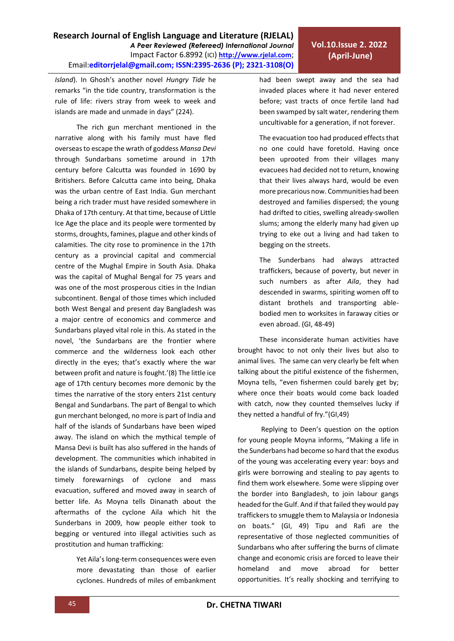had been swept away and the sea had invaded places where it had never entered before; vast tracts of once fertile land had been swamped by salt water, rendering them

The evacuation too had produced effects that no one could have foretold. Having once been uprooted from their villages many evacuees had decided not to return, knowing that their lives always hard, would be even more precarious now. Communities had been destroyed and families dispersed; the young had drifted to cities, swelling already-swollen slums; among the elderly many had given up trying to eke out a living and had taken to begging on the streets.

The Sunderbans had always attracted traffickers, because of poverty, but never in such numbers as after *Aila*, they had descended in swarms, spiriting women off to distant brothels and transporting ablebodied men to worksites in faraway cities or even abroad. (GI, 48-49)

These inconsiderate human activities have brought havoc to not only their lives but also to animal lives. The same can very clearly be felt when talking about the pitiful existence of the fishermen, Moyna tells, "even fishermen could barely get by; where once their boats would come back loaded with catch, now they counted themselves lucky if they netted a handful of fry."(GI,49)

Replying to Deen's question on the option for young people Moyna informs, "Making a life in the Sunderbans had become so hard that the exodus of the young was accelerating every year: boys and girls were borrowing and stealing to pay agents to find them work elsewhere. Some were slipping over the border into Bangladesh, to join labour gangs headed for the Gulf. And if that failed they would pay traffickers to smuggle them to Malaysia or Indonesia on boats." (GI, 49) Tipu and Rafi are the representative of those neglected communities of Sundarbans who after suffering the burns of climate change and economic crisis are forced to leave their homeland and move abroad for better opportunities. It's really shocking and terrifying to

**Research Journal of English Language and Literature (RJELAL)** *A Peer Reviewed (Refereed) International Journal* Impact Factor 6.8992 (ICI) **[http://www.rjelal.com](http://www.rjelal.com/)**; Email:**editorrjelal@gmail.com; ISSN:2395-2636 (P); 2321-3108(O)** 

*Island*). In Ghosh's another novel *Hungry Tide* he remarks "in the tide country, transformation is the rule of life: rivers stray from week to week and islands are made and unmade in days" (224).

The rich gun merchant mentioned in the narrative along with his family must have fled overseas to escape the wrath of goddess *Mansa Devi* through Sundarbans sometime around in 17th century before Calcutta was founded in 1690 by Britishers. Before Calcutta came into being, Dhaka was the urban centre of East India. Gun merchant being a rich trader must have resided somewhere in Dhaka of 17th century. At that time, because of Little Ice Age the place and its people were tormented by storms, droughts, famines, plague and other kinds of calamities. The city rose to prominence in the 17th century as a provincial capital and commercial centre of the Mughal Empire in South Asia. Dhaka was the capital of Mughal Bengal for 75 years and was one of the most prosperous cities in the Indian subcontinent. Bengal of those times which included both West Bengal and present day Bangladesh was a major centre of economics and commerce and Sundarbans played vital role in this. As stated in the novel, 'the Sundarbans are the frontier where commerce and the wilderness look each other directly in the eyes; that's exactly where the war between profit and nature is fought.'(8) The little ice age of 17th century becomes more demonic by the times the narrative of the story enters 21st century Bengal and Sundarbans. The part of Bengal to which gun merchant belonged, no more is part of India and half of the islands of Sundarbans have been wiped away. The island on which the mythical temple of Mansa Devi is built has also suffered in the hands of development. The communities which inhabited in the islands of Sundarbans, despite being helped by timely forewarnings of cyclone and mass evacuation, suffered and moved away in search of better life. As Moyna tells Dinanath about the aftermaths of the cyclone Aila which hit the Sunderbans in 2009, how people either took to begging or ventured into illegal activities such as prostitution and human trafficking:

> Yet Aila's long-term consequences were even more devastating than those of earlier cyclones. Hundreds of miles of embankment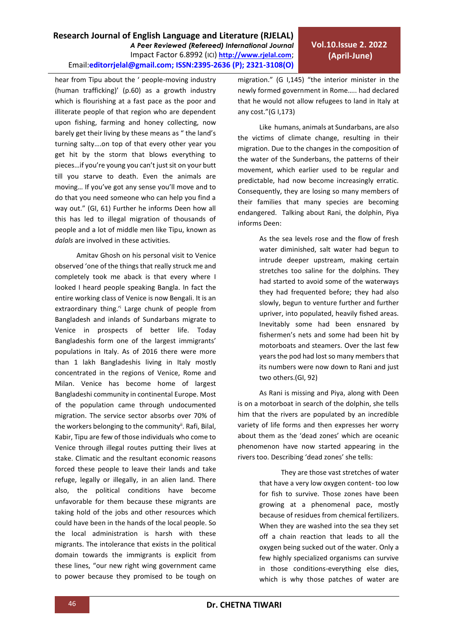## **Research Journal of English Language and Literature (RJELAL)** *A Peer Reviewed (Refereed) International Journal* Impact Factor 6.8992 (ICI) **[http://www.rjelal.com](http://www.rjelal.com/)**; Email:**editorrjelal@gmail.com; ISSN:2395-2636 (P); 2321-3108(O)**

hear from Tipu about the ' people-moving industry (human trafficking)' (p.60) as a growth industry which is flourishing at a fast pace as the poor and illiterate people of that region who are dependent upon fishing, farming and honey collecting, now barely get their living by these means as " the land's turning salty….on top of that every other year you get hit by the storm that blows everything to pieces…if you're young you can't just sit on your butt till you starve to death. Even the animals are moving… If you've got any sense you'll move and to do that you need someone who can help you find a way out." (GI, 61) Further he informs Deen how all this has led to illegal migration of thousands of people and a lot of middle men like Tipu, known as *dalals* are involved in these activities.

Amitav Ghosh on his personal visit to Venice observed 'one of the things that really struck me and completely took me aback is that every where I looked I heard people speaking Bangla. In fact the entire working class of Venice is now Bengali. It is an extraordinary thing.<sup>'i</sup> Large chunk of people from Bangladesh and inlands of Sundarbans migrate to Venice in prospects of better life. Today Bangladeshis form one of the largest immigrants' populations in Italy. As of 2016 there were more than 1 lakh Bangladeshis living in Italy mostly concentrated in the regions of Venice, Rome and Milan. Venice has become home of largest Bangladeshi community in continental Europe. Most of the population came through undocumented migration. The service sector absorbs over 70% of the workers belonging to the community<sup>ii</sup>. Rafi, Bilal, Kabir, Tipu are few of those individuals who come to Venice through illegal routes putting their lives at stake. Climatic and the resultant economic reasons forced these people to leave their lands and take refuge, legally or illegally, in an alien land. There also, the political conditions have become unfavorable for them because these migrants are taking hold of the jobs and other resources which could have been in the hands of the local people. So the local administration is harsh with these migrants. The intolerance that exists in the political domain towards the immigrants is explicit from these lines, "our new right wing government came to power because they promised to be tough on

migration." (G I,145) "the interior minister in the newly formed government in Rome….. had declared that he would not allow refugees to land in Italy at any cost."(G I,173)

Like humans, animals at Sundarbans, are also the victims of climate change, resulting in their migration. Due to the changes in the composition of the water of the Sunderbans, the patterns of their movement, which earlier used to be regular and predictable, had now become increasingly erratic. Consequently, they are losing so many members of their families that many species are becoming endangered. Talking about Rani, the dolphin, Piya informs Deen:

> As the sea levels rose and the flow of fresh water diminished, salt water had begun to intrude deeper upstream, making certain stretches too saline for the dolphins. They had started to avoid some of the waterways they had frequented before; they had also slowly, begun to venture further and further upriver, into populated, heavily fished areas. Inevitably some had been ensnared by fishermen's nets and some had been hit by motorboats and steamers. Over the last few years the pod had lost so many members that its numbers were now down to Rani and just two others.(GI, 92)

As Rani is missing and Piya, along with Deen is on a motorboat in search of the dolphin, she tells him that the rivers are populated by an incredible variety of life forms and then expresses her worry about them as the 'dead zones' which are oceanic phenomenon have now started appearing in the rivers too. Describing 'dead zones' she tells:

> They are those vast stretches of water that have a very low oxygen content- too low for fish to survive. Those zones have been growing at a phenomenal pace, mostly because of residues from chemical fertilizers. When they are washed into the sea they set off a chain reaction that leads to all the oxygen being sucked out of the water. Only a few highly specialized organisms can survive in those conditions-everything else dies, which is why those patches of water are